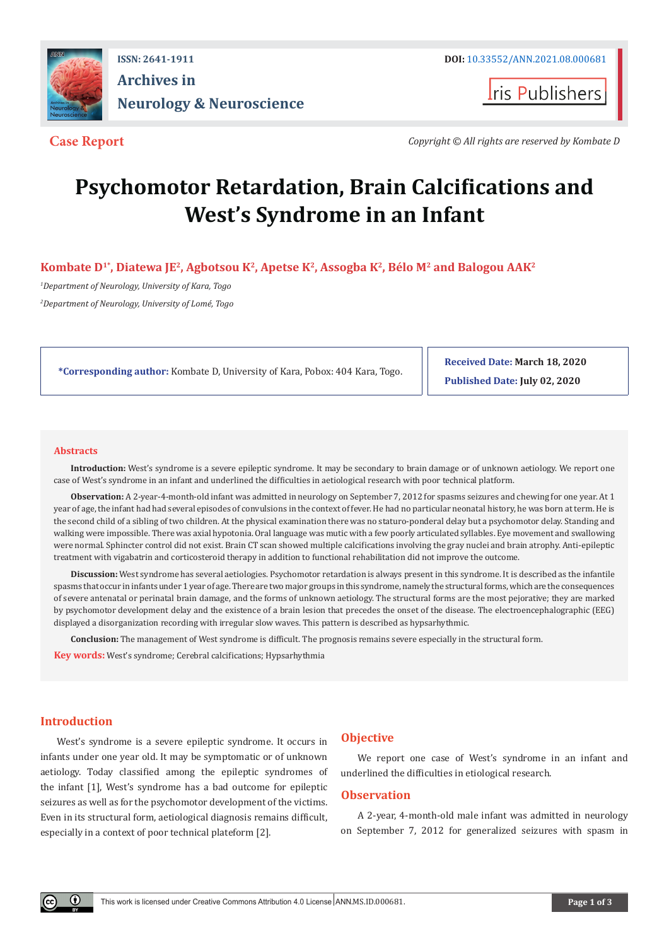

## **ISSN: 2641-1911 DOI:** [10.33552/ANN.2021.08.000681](http://dx.doi.org/10.33552/ANN.2021.08.000681) **Archives in Neurology & Neuroscience**

**I**ris Publishers

**Case Report** *Copyright © All rights are reserved by Kombate D*

# **Psychomotor Retardation, Brain Calcifications and West's Syndrome in an Infant**

**Kombate D1\*, Diatewa JE2, Agbotsou K2, Apetse K2, Assogba K2, Bélo M2 and Balogou AAK2**

*1 Department of Neurology, University of Kara, Togo 2 Department of Neurology, University of Lomé, Togo*

**\*Corresponding author:** Kombate D, University of Kara, Pobox: 404 Kara, Togo.

**Received Date: March 18, 2020 Published Date: July 02, 2020**

#### **Abstracts**

**Introduction:** West's syndrome is a severe epileptic syndrome. It may be secondary to brain damage or of unknown aetiology. We report one case of West's syndrome in an infant and underlined the difficulties in aetiological research with poor technical platform.

**Observation:** A 2-year-4-month-old infant was admitted in neurology on September 7, 2012 for spasms seizures and chewing for one year. At 1 year of age, the infant had had several episodes of convulsions in the context of fever. He had no particular neonatal history, he was born at term. He is the second child of a sibling of two children. At the physical examination there was no staturo-ponderal delay but a psychomotor delay. Standing and walking were impossible. There was axial hypotonia. Oral language was mutic with a few poorly articulated syllables. Eye movement and swallowing were normal. Sphincter control did not exist. Brain CT scan showed multiple calcifications involving the gray nuclei and brain atrophy. Anti-epileptic treatment with vigabatrin and corticosteroid therapy in addition to functional rehabilitation did not improve the outcome.

**Discussion:** West syndrome has several aetiologies. Psychomotor retardation is always present in this syndrome. It is described as the infantile spasms that occur in infants under 1 year of age. There are two major groups in this syndrome, namely the structural forms, which are the consequences of severe antenatal or perinatal brain damage, and the forms of unknown aetiology. The structural forms are the most pejorative; they are marked by psychomotor development delay and the existence of a brain lesion that precedes the onset of the disease. The electroencephalographic (EEG) displayed a disorganization recording with irregular slow waves. This pattern is described as hypsarhythmic.

**Conclusion:** The management of West syndrome is difficult. The prognosis remains severe especially in the structural form. **Key words:** West's syndrome; Cerebral calcifications; Hypsarhythmia

### **Introduction**

 $^{\circ}$ 

West's syndrome is a severe epileptic syndrome. It occurs in infants under one year old. It may be symptomatic or of unknown aetiology. Today classified among the epileptic syndromes of the infant [1], West's syndrome has a bad outcome for epileptic seizures as well as for the psychomotor development of the victims. Even in its structural form, aetiological diagnosis remains difficult, especially in a context of poor technical plateform [2].

### **Objective**

We report one case of West's syndrome in an infant and underlined the difficulties in etiological research.

### **Observation**

A 2-year, 4-month-old male infant was admitted in neurology on September 7, 2012 for generalized seizures with spasm in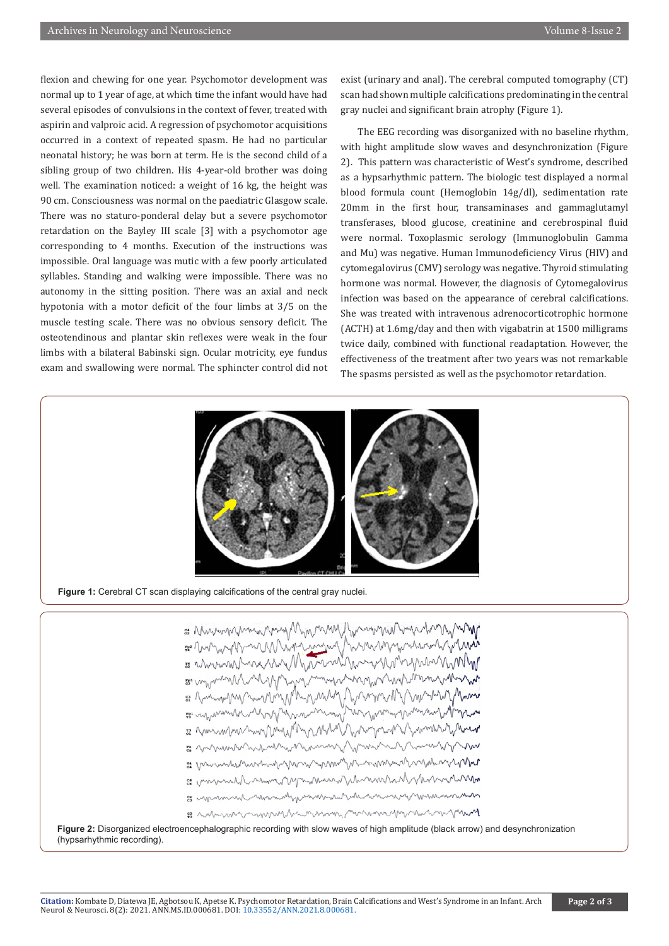flexion and chewing for one year. Psychomotor development was normal up to 1 year of age, at which time the infant would have had several episodes of convulsions in the context of fever, treated with aspirin and valproic acid. A regression of psychomotor acquisitions occurred in a context of repeated spasm. He had no particular neonatal history; he was born at term. He is the second child of a sibling group of two children. His 4-year-old brother was doing well. The examination noticed: a weight of 16 kg, the height was 90 cm. Consciousness was normal on the paediatric Glasgow scale. There was no staturo-ponderal delay but a severe psychomotor retardation on the Bayley III scale [3] with a psychomotor age corresponding to 4 months. Execution of the instructions was impossible. Oral language was mutic with a few poorly articulated syllables. Standing and walking were impossible. There was no autonomy in the sitting position. There was an axial and neck hypotonia with a motor deficit of the four limbs at 3/5 on the muscle testing scale. There was no obvious sensory deficit. The osteotendinous and plantar skin reflexes were weak in the four limbs with a bilateral Babinski sign. Ocular motricity, eye fundus exam and swallowing were normal. The sphincter control did not

exist (urinary and anal). The cerebral computed tomography (CT) scan had shown multiple calcifications predominating in the central gray nuclei and significant brain atrophy (Figure 1).

The EEG recording was disorganized with no baseline rhythm, with hight amplitude slow waves and desynchronization (Figure 2). This pattern was characteristic of West's syndrome, described as a hypsarhythmic pattern. The biologic test displayed a normal blood formula count (Hemoglobin 14g/dl), sedimentation rate 20mm in the first hour, transaminases and gammaglutamyl transferases, blood glucose, creatinine and cerebrospinal fluid were normal. Toxoplasmic serology (Immunoglobulin Gamma and Mu) was negative. Human Immunodeficiency Virus (HIV) and cytomegalovirus (CMV) serology was negative. Thyroid stimulating hormone was normal. However, the diagnosis of Cytomegalovirus infection was based on the appearance of cerebral calcifications. She was treated with intravenous adrenocorticotrophic hormone (ACTH) at 1.6mg/day and then with vigabatrin at 1500 milligrams twice daily, combined with functional readaptation. However, the effectiveness of the treatment after two years was not remarkable The spasms persisted as well as the psychomotor retardation.



**Figure 1:** Cerebral CT scan displaying calcifications of the central gray nuclei.



**Figure 2:** Disorganized electroencephalographic recording with slow waves of high amplitude (black arrow) and desynchronization (hypsarhythmic recording).